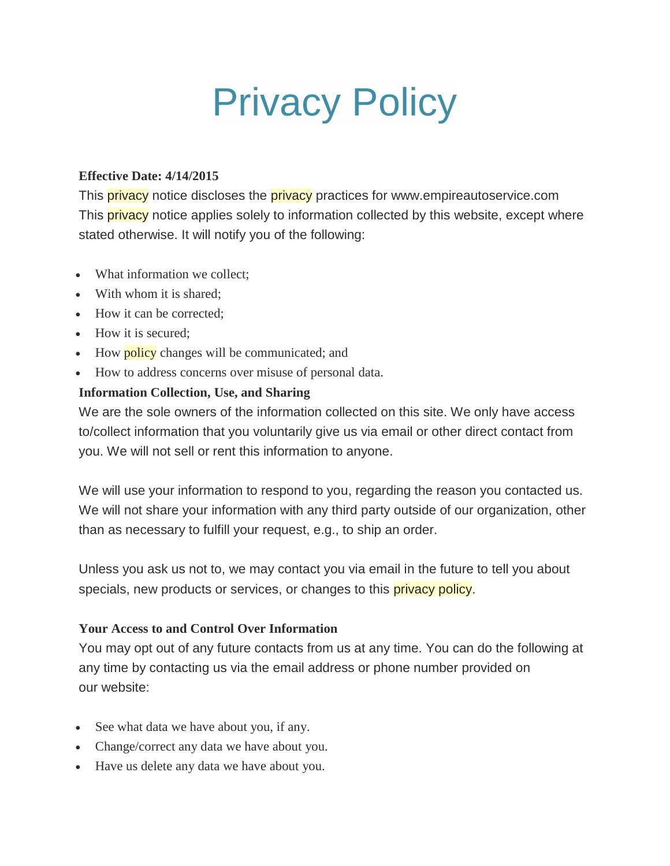# Privacy Policy

#### **Effective Date: 4/14/2015**

This **privacy** notice discloses the **privacy** practices for www.empireautoservice.com This **privacy** notice applies solely to information collected by this website, except where stated otherwise. It will notify you of the following:

- What information we collect:
- With whom it is shared:
- How it can be corrected:
- How it is secured:
- How **policy** changes will be communicated; and
- How to address concerns over misuse of personal data.

### **Information Collection, Use, and Sharing**

We are the sole owners of the information collected on this site. We only have access to/collect information that you voluntarily give us via email or other direct contact from you. We will not sell or rent this information to anyone.

We will use your information to respond to you, regarding the reason you contacted us. We will not share your information with any third party outside of our organization, other than as necessary to fulfill your request, e.g., to ship an order.

Unless you ask us not to, we may contact you via email in the future to tell you about specials, new products or services, or changes to this privacy policy.

#### **Your Access to and Control Over Information**

You may opt out of any future contacts from us at any time. You can do the following at any time by contacting us via the email address or phone number provided on our website:

- See what data we have about you, if any.
- Change/correct any data we have about you.
- Have us delete any data we have about you.